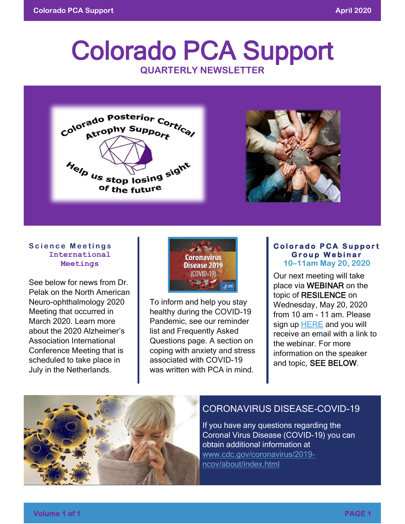# Colorado PCA Support **QUARTERLY NEWSLETTER**



#### **Science Meetings International Meetings**

See below for news from Dr. Pelak on the North American Neuro-ophthalmology 2020 Meeting that occurred in March 2020. Learn more about the 2020 Alzheimer's Association International Conference Meeting that is scheduled to take place in July in the Netherlands.



To inform and help you stay healthy during the COVID-19 Pandemic, see our reminder list and Frequently Asked Questions page. A section on coping with anxiety and stress associated with COVID-19 was written with PCA in mind.

#### **Colorado PCA Support G r o u p W e b i n a r 10–11am May 20, 2020**

Our next meeting will take place via WEBINAR on the topic of RESILENCE on Wednesday, May 20, 2020 from 10 am - 11 am. Please sign up [HERE](https://neurologyevent.ucdenver.edu/pca) and you will receive an email with a link to the webinar. For more information on the speaker and topic, SEE BELOW.



# CORONAVIRUS DISEASE-COVID-19

If you have any questions regarding the Coronal Virus Disease (COVID-19) you can obtain additional information at [www.cdc.gov/coronavirus/2019](http://www.cdc.gov/coronavirus/2019-ncov/about/index.html) [ncov/about/index.html](http://www.cdc.gov/coronavirus/2019-ncov/about/index.html)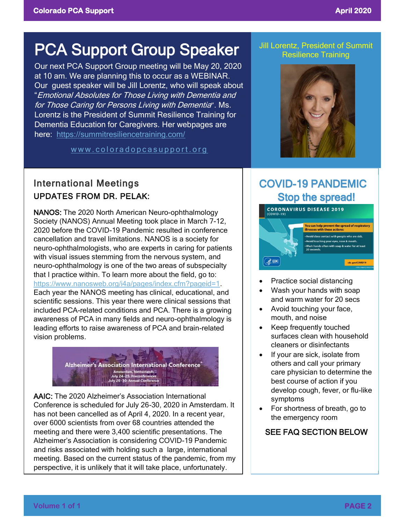# PCA Support Group Speaker **In Lorentz, President of Summit** Resilience Training

Our next PCA Support Group meeting will be May 20, 2020 at 10 am. We are planning this to occur as a WEBINAR. Our guest speaker will be Jill Lorentz, who will speak about "Emotional Absolutes for Those Living with Dementia and for Those Caring for Persons Living with Dementia". Ms. Lorentz is the President of Summit Resilience Training for Dementia Education for Caregivers. Her webpages are here: <https://summitresiliencetraining.com/>

www.coloradopcasupport.org



# International Meetings UPDATES FROM DR. PELAK:

NANOS: The 2020 North American Neuro-ophthalmology Society (NANOS) Annual Meeting took place in March 7-12, 2020 before the COVID-19 Pandemic resulted in conference cancellation and travel limitations. NANOS is a society for neuro-ophthalmologists, who are experts in caring for patients with visual issues stemming from the nervous system, and neuro-ophthalmology is one of the two areas of subspecialty that I practice within. To learn more about the field, go to: [https://www.nanosweb.org/i4a/pages/index.cfm?pageid=1.](https://www.nanosweb.org/i4a/pages/index.cfm?pageid=1) Each year the NANOS meeting has clinical, educational, and scientific sessions. This year there were clinical sessions that included PCA-related conditions and PCA. There is a growing awareness of PCA in many fields and neuro-ophthalmology is leading efforts to raise awareness of PCA and brain-related vision problems.



AAIC: The 2020 Alzheimer's Association International Conference is scheduled for July 26-30, 2020 in Amsterdam. It has not been cancelled as of April 4, 2020. In a recent year, over 6000 scientists from over 68 countries attended the meeting and there were 3,400 scientific presentations. The Alzheimer's Association is considering COVID-19 Pandemic and risks associated with holding such a large, international meeting. Based on the current status of the pandemic, from my perspective, it is unlikely that it will take place, unfortunately.

# COVID-19 PANDEMIC Stop the spread!



- Practice social distancing
- Wash your hands with soap and warm water for 20 secs
- Avoid touching your face, mouth, and noise
- Keep frequently touched surfaces clean with household cleaners or disinfectants
- If your are sick, isolate from others and call your primary care physician to determine the best course of action if you develop cough, fever, or flu-like symptoms
- For shortness of breath, go to the emergency room

# SEE FAQ SECTION BELOW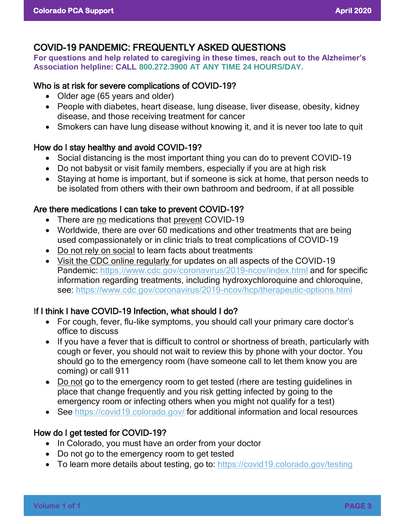# COVID-19 PANDEMIC: FREQUENTLY ASKED QUESTIONS

**For questions and help related to caregiving in these times, reach out to the Alzheimer's Association helpline: CALL [800.272.3900](tel:800.272.3900) AT ANY TIME 24 HOURS/DAY.**

#### Who is at risk for severe complications of COVID-19?

- Older age (65 years and older)
- People with diabetes, heart disease, lung disease, liver disease, obesity, kidney disease, and those receiving treatment for cancer
- Smokers can have lung disease without knowing it, and it is never too late to quit

## How do I stay healthy and avoid COVID-19?

- Social distancing is the most important thing you can do to prevent COVID-19
- Do not babysit or visit family members, especially if you are at high risk
- Staying at home is important, but if someone is sick at home, that person needs to be isolated from others with their own bathroom and bedroom, if at all possible

## Are there medications I can take to prevent COVID-19?

- There are no medications that prevent COVID-19
- Worldwide, there are over 60 medications and other treatments that are being used compassionately or in clinic trials to treat complications of COVID-19
- Do not rely on social to learn facts about treatments
- Visit the CDC online regularly for updates on all aspects of the COVID-19 Pandemic:<https://www.cdc.gov/coronavirus/2019-ncov/index.html> and for specific information regarding treatments, including hydroxychloroquine and chloroquine, see:<https://www.cdc.gov/coronavirus/2019-ncov/hcp/therapeutic-options.html>

# If I think I have COVID-19 Infection, what should I do?

- For cough, fever, flu-like symptoms, you should call your primary care doctor's office to discuss
- If you have a fever that is difficult to control or shortness of breath, particularly with cough or fever, you should not wait to review this by phone with your doctor. You should go to the emergency room (have someone call to let them know you are coming) or call 911
- Do not go to the emergency room to get tested (rhere are testing guidelines in place that change frequently and you risk getting infected by going to the emergency room or infecting others when you might not qualify for a test)
- See<https://covid19.colorado.gov/> for additional information and local resources

# How do I get tested for COVID-19?

- In Colorado, you must have an order from your doctor
- Do not go to the emergency room to get tested
- To learn more details about testing, go to:<https://covid19.colorado.gov/testing>